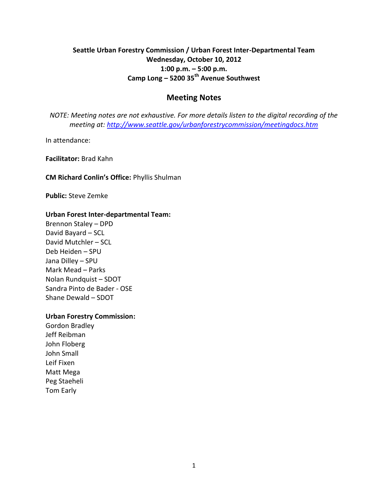## **Seattle Urban Forestry Commission / Urban Forest Inter-Departmental Team Wednesday, October 10, 2012 1:00 p.m. – 5:00 p.m. Camp Long – 5200 35th Avenue Southwest**

## **Meeting Notes**

*NOTE: Meeting notes are not exhaustive. For more details listen to the digital recording of the meeting at:<http://www.seattle.gov/urbanforestrycommission/meetingdocs.htm>*

In attendance:

**Facilitator:** Brad Kahn

#### **CM Richard Conlin's Office:** Phyllis Shulman

**Public:** Steve Zemke

#### **Urban Forest Inter-departmental Team:**

Brennon Staley – DPD David Bayard – SCL David Mutchler – SCL Deb Heiden – SPU Jana Dilley – SPU Mark Mead – Parks Nolan Rundquist – SDOT Sandra Pinto de Bader - OSE Shane Dewald – SDOT

#### **Urban Forestry Commission:**

Gordon Bradley Jeff Reibman John Floberg John Small Leif Fixen Matt Mega Peg Staeheli Tom Early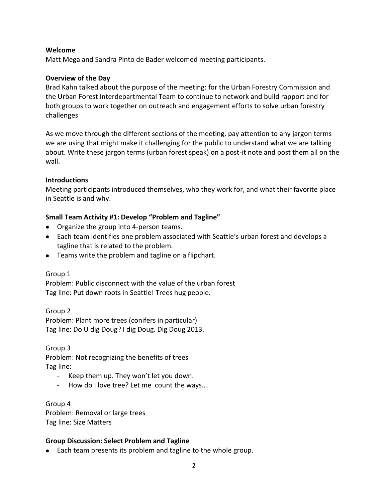#### **Welcome**

Matt Mega and Sandra Pinto de Bader welcomed meeting participants.

#### **Overview of the Day**

Brad Kahn talked about the purpose of the meeting: for the Urban Forestry Commission and the Urban Forest Interdepartmental Team to continue to network and build rapport and for both groups to work together on outreach and engagement efforts to solve urban forestry challenges

As we move through the different sections of the meeting, pay attention to any jargon terms we are using that might make it challenging for the public to understand what we are talking about. Write these jargon terms (urban forest speak) on a post-it note and post them all on the wall.

#### **Introductions**

Meeting participants introduced themselves, who they work for, and what their favorite place in Seattle is and why.

### **Small Team Activity #1: Develop "Problem and Tagline"**

- Organize the group into 4-person teams.
- Each team identifies one problem associated with Seattle's urban forest and develops a tagline that is related to the problem.
- Teams write the problem and tagline on a flipchart.

#### Group 1

Problem: Public disconnect with the value of the urban forest Tag line: Put down roots in Seattle! Trees hug people.

Group 2 Problem: Plant more trees (conifers in particular) Tag line: Do U dig Doug? I dig Doug. Dig Doug 2013.

Group 3

Problem: Not recognizing the benefits of trees Tag line:

- Keep them up. They won't let you down.
- How do I love tree? Let me count the ways….

Group 4

Problem: Removal or large trees Tag line: Size Matters

### **Group Discussion: Select Problem and Tagline**

• Each team presents its problem and tagline to the whole group.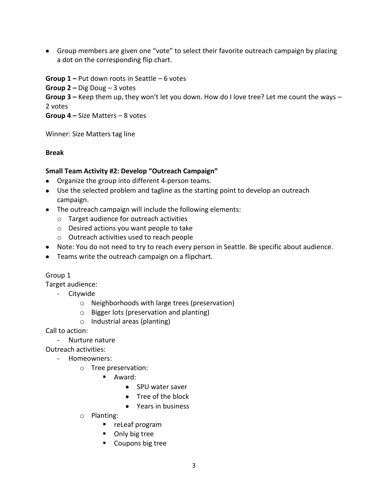Group members are given one "vote" to select their favorite outreach campaign by placing a dot on the corresponding flip chart.

**Group 1 –** Put down roots in Seattle – 6 votes

**Group 2 –** Dig Doug – 3 votes

**Group 3 –** Keep them up, they won't let you down. How do I love tree? Let me count the ways – 2 votes

**Group 4 –** Size Matters – 8 votes

Winner: Size Matters tag line

### **Break**

### **Small Team Activity #2: Develop "Outreach Campaign"**

- Organize the group into different 4-person teams.
- Use the selected problem and tagline as the starting point to develop an outreach campaign.
- The outreach campaign will include the following elements:
	- o Target audience for outreach activities
	- o Desired actions you want people to take
	- o Outreach activities used to reach people
- Note: You do not need to try to reach every person in Seattle. Be specific about audience.
- **•** Teams write the outreach campaign on a flipchart.

### Group 1

Target audience:

- Citywide
	- o Neighborhoods with large trees (preservation)
	- o Bigger lots (preservation and planting)
	- o Industrial areas (planting)

Call to action:

- Nurture nature

Outreach activities:

- Homeowners:
	- o Tree preservation:
		- Award:
			- SPU water saver
			- Tree of the block
			- Years in business
	- o Planting:
		- reLeaf program
		- **Daly big tree**
		- **Coupons big tree**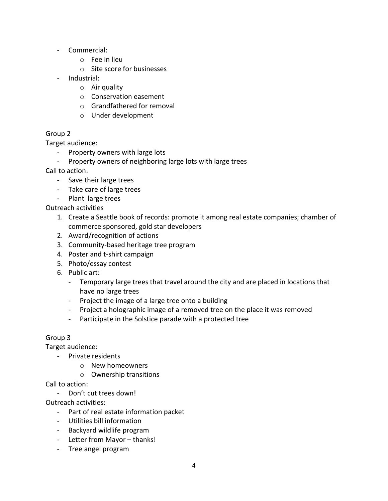- Commercial:
	- o Fee in lieu
	- o Site score for businesses
- Industrial:
	- o Air quality
	- o Conservation easement
	- o Grandfathered for removal
	- o Under development

## Group 2

Target audience:

- Property owners with large lots
- Property owners of neighboring large lots with large trees

Call to action:

- Save their large trees
- Take care of large trees
- Plant large trees

Outreach activities

- 1. Create a Seattle book of records: promote it among real estate companies; chamber of commerce sponsored, gold star developers
- 2. Award/recognition of actions
- 3. Community-based heritage tree program
- 4. Poster and t-shirt campaign
- 5. Photo/essay contest
- 6. Public art:
	- Temporary large trees that travel around the city and are placed in locations that have no large trees
	- Project the image of a large tree onto a building
	- Project a holographic image of a removed tree on the place it was removed
	- Participate in the Solstice parade with a protected tree

### Group 3

Target audience:

- Private residents
	- o New homeowners
	- o Ownership transitions

Call to action:

- Don't cut trees down!

Outreach activities:

- Part of real estate information packet
- Utilities bill information
- Backyard wildlife program
- Letter from Mayor thanks!
- Tree angel program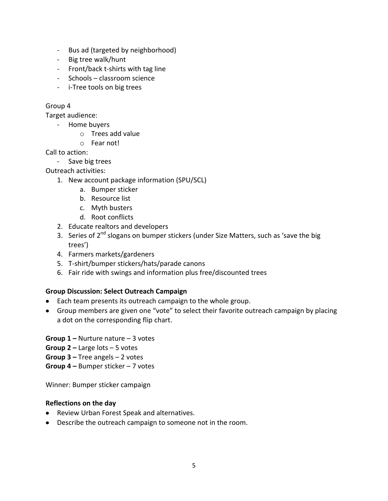- Bus ad (targeted by neighborhood)
- Big tree walk/hunt
- Front/back t-shirts with tag line
- Schools classroom science
- i-Tree tools on big trees

## Group 4

Target audience:

- Home buyers
	- o Trees add value
	- o Fear not!

Call to action:

- Save big trees

Outreach activities:

- 1. New account package information (SPU/SCL)
	- a. Bumper sticker
	- b. Resource list
	- c. Myth busters
	- d. Root conflicts
- 2. Educate realtors and developers
- 3. Series of  $2^{nd}$  slogans on bumper stickers (under Size Matters, such as 'save the big trees')
- 4. Farmers markets/gardeners
- 5. T-shirt/bumper stickers/hats/parade canons
- 6. Fair ride with swings and information plus free/discounted trees

### **Group Discussion: Select Outreach Campaign**

- Each team presents its outreach campaign to the whole group.
- Group members are given one "vote" to select their favorite outreach campaign by placing a dot on the corresponding flip chart.

**Group 1 –** Nurture nature – 3 votes

- **Group 2 –** Large lots 5 votes
- **Group 3 –** Tree angels 2 votes
- **Group 4 –** Bumper sticker 7 votes

Winner: Bumper sticker campaign

### **Reflections on the day**

- Review Urban Forest Speak and alternatives.
- Describe the outreach campaign to someone not in the room.